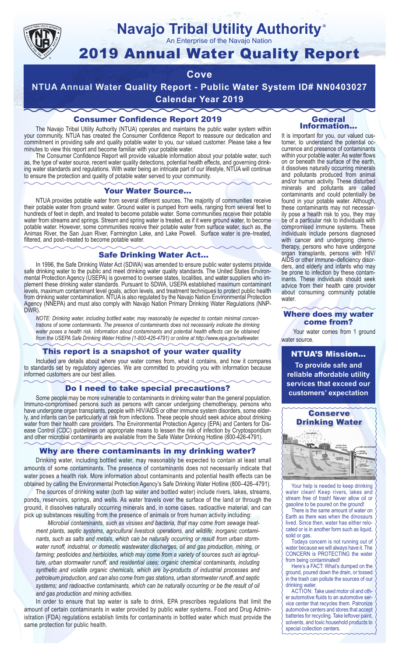

#### **Navajo Tribal Utility Authority** ®

An Enterprise of the Navajo Nation

# 2019 Annual Water Quality Report

# **Cove**

**NTUA Annual Water Quality Report - Public Water System ID# NN0403027 Calendar Year 2019**

# Consumer Confidence Report 2019

The Navajo Tribal Utility Authority (NTUA) operates and maintains the public water system within your community. NTUA has created the Consumer Confidence Report to reassure our dedication and commitment in providing safe and quality potable water to you, our valued customer. Please take a few minutes to view this report and become familiar with your potable water.

The Consumer Confidence Report will provide valuable information about your potable water, such as, the type of water source, recent water quality detections, potential health effects, and governing drinking water standards and regulations. With water being an intricate part of our lifestyle, NTUA will continue to ensure the protection and quality of potable water served to your community.

#### Your Water Source…

NTUA provides potable water from several different sources. The majority of communities receive their potable water from ground water. Ground water is pumped from wells, ranging from several feet to hundreds of feet in depth, and treated to become potable water. Some communities receive their potable water from streams and springs. Stream and spring water is treated, as if it were ground water, to become potable water. However, some communities receive their potable water from surface water, such as, the Animas River, the San Juan River, Farmington Lake, and Lake Powell. Surface water is pre–treated, filtered, and post–treated to become potable water.

#### Safe Drinking Water Act…

In 1996, the Safe Drinking Water Act (SDWA) was amended to ensure public water systems provide safe drinking water to the public and meet drinking water quality standards. The United States Environmental Protection Agency (USEPA) is governed to oversee states, localities, and water suppliers who implement these drinking water standards. Pursuant to SDWA, USEPA established maximum contaminant levels, maximum contaminant level goals, action levels, and treatment techniques to protect public health from drinking water contamination. NTUA is also regulated by the Navajo Nation Environmental Protection Agency (NNEPA) and must also comply with Navajo Nation Primary Drinking Water Regulations (NNP-DWR)

*NOTE: Drinking water, including bottled water, may reasonably be expected to contain minimal concentrations of some contaminants. The presence of contaminants does not necessarily indicate the drinking water poses a health risk. Information about contaminants and potential health effects can be obtained from the USEPA Safe Drinking Water Hotline (1-800-426-4791) or online at http://www.epa.gov/safewater.*

### This report is a snapshot of your water quality

Included are details about where your water comes from, what it contains, and how it compares to standards set by regulatory agencies. We are committed to providing you with information because informed customers are our best allies.

#### Do I need to take special precautions?

Some people may be more vulnerable to contaminants in drinking water than the general population. Immuno-compromised persons such as persons with cancer undergoing chemotherapy, persons who have undergone organ transplants, people with HIV/AIDS or other immune system disorders, some elderly, and infants can be particularly at risk from infections. These people should seek advice about drinking water from their health care providers. The Environmental Protection Agency (EPA) and Centers for Disease Control (CDC) guidelines on appropriate means to lessen the risk of infection by Cryptosporidium and other microbial contaminants are available from the Safe Water Drinking Hotline (800-426-4791).

### Why are there contaminants in my drinking water?

Drinking water, including bottled water, may reasonably be expected to contain at least small amounts of some contaminants. The presence of contaminants does not necessarily indicate that water poses a health risk. More information about contaminants and potential health effects can be obtained by calling the Environmental Protection Agency's Safe Drinking Water Hotline (800–426–4791).

The sources of drinking water (both tap water and bottled water) include rivers, lakes, streams, ponds, reservoirs, springs, and wells. As water travels over the surface of the land or through the ground, it dissolves naturally occurring minerals and, in some cases, radioactive material, and can pick up substances resulting from the presence of animals or from human activity including:

*Microbial contaminants, such as viruses and bacteria, that may come from sewage treatment plants, septic systems, agricultural livestock operations, and wildlife; inorganic contaminants, such as salts and metals, which can be naturally occurring or result from urban stormwater runoff, industrial, or domestic wastewater discharges, oil and gas production, mining, or farming; pesticides and herbicides, which may come from a variety of sources such as agriculture, urban stormwater runoff, and residential uses; organic chemical contaminants, including synthetic and volatile organic chemicals, which are by-products of industrial processes and petroleum production, and can also come from gas stations, urban stormwater runoff, and septic systems; and radioactive contaminants, which can be naturally occurring or be the result of oil and gas production and mining activities.*

In order to ensure that tap water is safe to drink, EPA prescribes regulations that limit the amount of certain contaminants in water provided by public water systems. Food and Drug Administration (FDA) regulations establish limits for contaminants in bottled water which must provide the same protection for public health.

#### General Information…

It is important for you, our valued customer, to understand the potential occurrence and presence of contaminants within your potable water. As water flows on or beneath the surface of the earth, it dissolves naturally occurring minerals and pollutants produced from animal and/or human activity. These disturbed minerals and pollutants are called contaminants and could potentially be found in your potable water. Although, these contaminants may not necessarily pose a health risk to you, they may be of a particular risk to individuals with compromised immune systems. These individuals include persons diagnosed with cancer and undergoing chemo-<br>therapy, persons who have undergone organ transplants, persons with HIV/ AIDS or other immune–deficiency disor- ders, and elderly and infants who may be prone to infection by these contam- inants. These individuals should seek advice from their health care provider about consuming community potable water.

#### Where does my water come from?

Your water comes from 1 ground water source.

NTUA'S Mission... **To provide safe and reliable affordable utility services that exceed our customers' expectation**



Your help is needed to keep drinking water clean! Keep rivers, lakes and stream free of trash! Never allow oil or gasoline to be poured on the ground!

There is the same amount of water on Earth as there was when the dinosaurs lived. Since then, water has either relocated or is in another form such as liquid, solid or gas.

Todays concern is not running out of water because we will always have it. The CONCERN is PROTECTING the water from being contaminated!

Here's a FACT: What's dumped on the ground, poured down the drain, or tossed in the trash can pollute the sources of our drinking water.

ACTION: Take used motor oil and other automotive fluids to an automotive service center that recycles them. Patronize automotive centers and stores that accept batteries for recycling. Take leftover paint, solvents, and toxic household products to special collection centers.